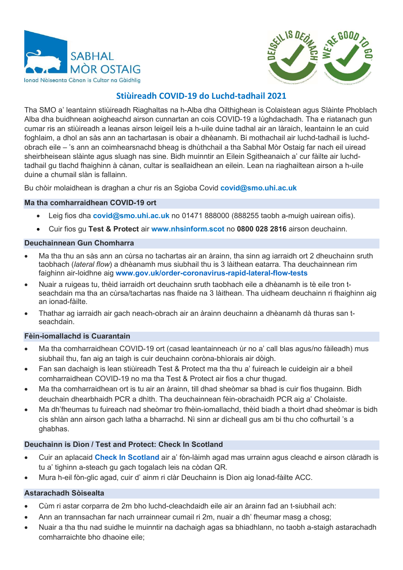



# Stiùireadh COVID-19 do Luchd-tadhail 2021

Tha SMO a' leantainn stiùireadh Riaghaltas na h-Alba dha Oilthighean is Colaistean agus Slàinte Phoblach Alba dha buidhnean aoigheachd airson cunnartan an cois COVID-19 a lùghdachadh. Tha e riatanach gun cumar ris an stiùireadh a leanas airson leigeil leis a h-uile duine tadhal air an làraich, leantainn le an cuid foghlaim, a dhol an sàs ann an tachartasan is obair a dhèanamh. Bi mothachail air luchd-tadhail is luchdobrach eile – 's ann an coimhearsnachd bheag is dhùthchail a tha Sabhal Mòr Ostaig far nach eil uiread sheirbheisean slàinte agus sluagh nas sine. Bidh muinntir an Eilein Sgitheanaich a' cur fàilte air luchdtadhail gu tlachd fhaighinn à cànan, cultar is seallaidhean an eilein. Lean na riaghailtean airson a h-uile duine a chumail slàn is fallainn.

Bu chòir molaidhean is draghan a chur ris an Sgioba Covid covid@smo.uhi.ac.uk

#### Ma tha comharraidhean COVID-19 ort

- Leig fios dha **covid@smo.uhi.ac.uk** no 01471 888000 (888255 taobh a-muigh uairean oifis).
- Cuir fios gu Test & Protect air www.nhsinform.scot no 0800 028 2816 airson deuchainn.

#### Deuchainnean Gun Chomharra

- Ma tha thu an sàs ann an cùrsa no tachartas air an àrainn, tha sinn ag iarraidh ort 2 dheuchainn sruth taobhach (*lateral flow*) a dhèanamh mus siubhail thu is 3 làithean eatarra. Tha deuchainnean rim faighinn air-loidhne aig www.gov.uk/order-coronavirus-rapid-lateral-flow-tests
- Nuair a ruigeas tu, thèid iarraidh ort deuchainn sruth taobhach eile a dhèanamh is tè eile tron tseachdain ma tha an cùrsa/tachartas nas fhaide na 3 làithean. Tha uidheam deuchainn ri fhaighinn aig an ionad-fàilte.
- Thathar ag iarraidh air gach neach-obrach air an àrainn deuchainn a dhèanamh dà thuras san tseachdain.

#### Fèin-iomallachd is Cuarantain

- Ma tha comharraidhean COVID-19 ort (casad leantainneach ùr no a' call blas agus/no fàileadh) mus siubhail thu, fan aig an taigh is cuir deuchainn coròna-bhìorais air dòigh.
- Fan san dachaigh is lean stiùireadh Test & Protect ma tha thu a' fuireach le cuideigin air a bheil comharraidhean COVID-19 no ma tha Test & Protect air fios a chur thugad.
- Ma tha comharraidhean ort is tu air an àrainn, till dhad sheòmar sa bhad is cuir fios thugainn. Bidh deuchain dhearbhaidh PCR a dhìth. Tha deuchainnean fèin-obrachaidh PCR aig a' Cholaiste.
- Ma dh'fheumas tu fuireach nad sheòmar tro fhèin-iomallachd, thèid biadh a thoirt dhad sheòmar is bidh cìs shlàn ann airson gach latha a bharrachd. Nì sinn ar dìcheall gus am bi thu cho cofhurtail 's a ghabhas.

## Deuchainn is Dìon / Test and Protect: Check In Scotland

- Cuir an aplacaid Check In Scotland air a' fòn-làimh agad mas urrainn agus cleachd e airson clàradh is tu a' tighinn a-steach gu gach togalach leis na còdan QR.
- Mura h-eil fòn-glic agad, cuir d' ainm ri clàr Deuchainn is Dìon aig Ionad-fàilte ACC.

#### Astarachadh Sòisealta

- Cùm ri astar corparra de 2m bho luchd-cleachdaidh eile air an àrainn fad an t-siubhail ach:
- Ann an trannsachan far nach urrainnear cumail ri 2m, nuair a dh' fheumar masg a chosg;
- Nuair a tha thu nad suidhe le muinntir na dachaigh agas sa bhiadhlann, no taobh a-staigh astarachadh comharraichte bho dhaoine eile;